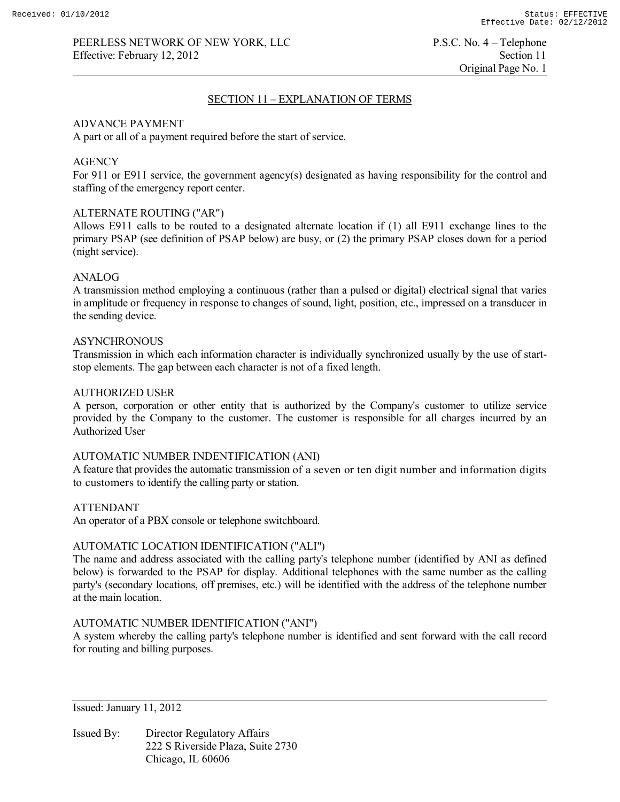Original Page No. 1

## SECTION 11 – EXPLANATION OF TERMS

## ADVANCE PAYMENT

A part or all of a payment required before the start of service.

## **AGENCY**

For 911 or E911 service, the government agency(s) designated as having responsibility for the control and staffing of the emergency report center.

## ALTERNATE ROUTING ("AR")

Allows E911 calls to be routed to a designated alternate location if (1) all E911 exchange lines to the primary PSAP (see definition of PSAP below) are busy, or (2) the primary PSAP closes down for a period (night service).

## ANALOG

A transmission method employing a continuous (rather than a pulsed or digital) electrical signal that varies in amplitude or frequency in response to changes of sound, light, position, etc., impressed on a transducer in the sending device.

## **ASYNCHRONOUS**

Transmission in which each information character is individually synchronized usually by the use of startstop elements. The gap between each character is not of a fixed length.

## AUTHORIZED USER

A person, corporation or other entity that is authorized by the Company's customer to utilize service provided by the Company to the customer. The customer is responsible for all charges incurred by an Authorized User

#### AUTOMATIC NUMBER INDENTIFICATION (ANI)

A feature that provides the automatic transmission of a seven or ten digit number and information digits to customers to identify the calling party or station.

#### ATTENDANT

An operator of a PBX console or telephone switchboard.

# AUTOMATIC LOCATION IDENTIFICATION ("ALI")

The name and address associated with the calling party's telephone number (identified by ANI as defined below) is forwarded to the PSAP for display. Additional telephones with the same number as the calling party's (secondary locations, off premises, etc.) will be identified with the address of the telephone number at the main location.

# AUTOMATIC NUMBER IDENTIFICATION ("ANI")

A system whereby the calling party's telephone number is identified and sent forward with the call record for routing and billing purposes.

Issued: January 11, 2012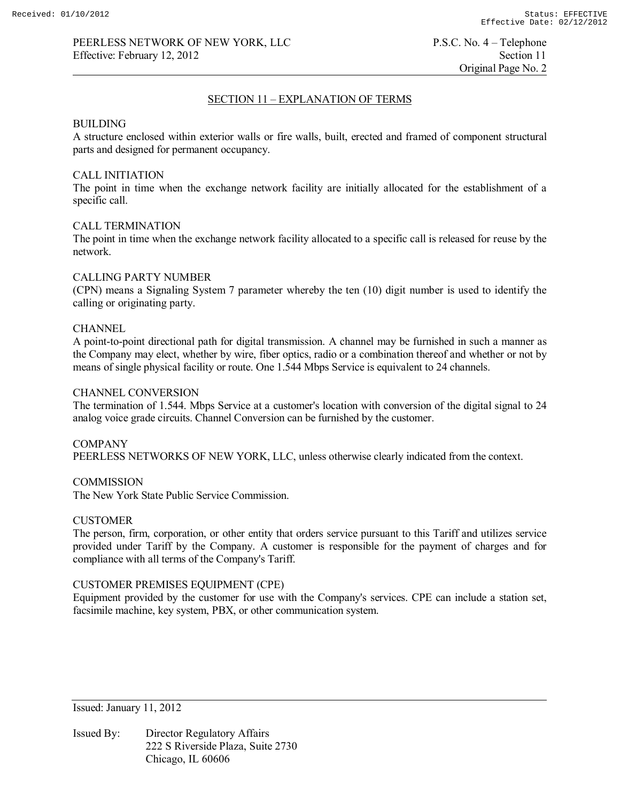# SECTION 11 – EXPLANATION OF TERMS

## BUILDING

A structure enclosed within exterior walls or fire walls, built, erected and framed of component structural parts and designed for permanent occupancy.

## CALL INITIATION

The point in time when the exchange network facility are initially allocated for the establishment of a specific call.

## CALL TERMINATION

The point in time when the exchange network facility allocated to a specific call is released for reuse by the network.

## CALLING PARTY NUMBER

(CPN) means a Signaling System 7 parameter whereby the ten (10) digit number is used to identify the calling or originating party.

## CHANNEL

A point-to-point directional path for digital transmission. A channel may be furnished in such a manner as the Company may elect, whether by wire, fiber optics, radio or a combination thereof and whether or not by means of single physical facility or route. One 1.544 Mbps Service is equivalent to 24 channels.

## CHANNEL CONVERSION

The termination of 1.544. Mbps Service at a customer's location with conversion of the digital signal to 24 analog voice grade circuits. Channel Conversion can be furnished by the customer.

COMPANY PEERLESS NETWORKS OF NEW YORK, LLC, unless otherwise clearly indicated from the context.

## **COMMISSION**

The New York State Public Service Commission.

# **CUSTOMER**

The person, firm, corporation, or other entity that orders service pursuant to this Tariff and utilizes service provided under Tariff by the Company. A customer is responsible for the payment of charges and for compliance with all terms of the Company's Tariff.

## CUSTOMER PREMISES EQUIPMENT (CPE)

Equipment provided by the customer for use with the Company's services. CPE can include a station set, facsimile machine, key system, PBX, or other communication system.

Issued: January 11, 2012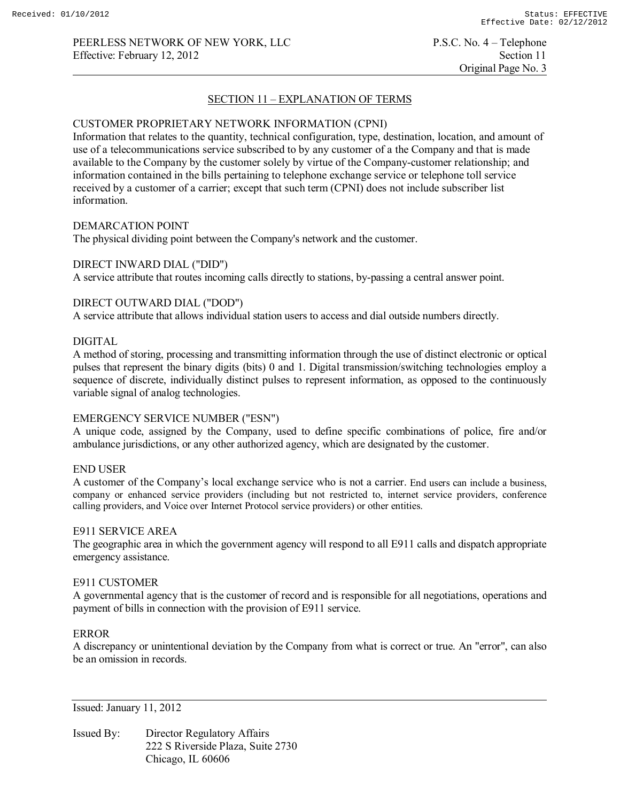Original Page No. 3

# SECTION 11 – EXPLANATION OF TERMS

## CUSTOMER PROPRIETARY NETWORK INFORMATION (CPNI)

Information that relates to the quantity, technical configuration, type, destination, location, and amount of use of a telecommunications service subscribed to by any customer of a the Company and that is made available to the Company by the customer solely by virtue of the Company-customer relationship; and information contained in the bills pertaining to telephone exchange service or telephone toll service received by a customer of a carrier; except that such term (CPNI) does not include subscriber list information.

#### DEMARCATION POINT

The physical dividing point between the Company's network and the customer.

## DIRECT INWARD DIAL ("DID")

A service attribute that routes incoming calls directly to stations, by-passing a central answer point.

# DIRECT OUTWARD DIAL ("DOD")

A service attribute that allows individual station users to access and dial outside numbers directly.

## DIGITAL

A method of storing, processing and transmitting information through the use of distinct electronic or optical pulses that represent the binary digits (bits) 0 and 1. Digital transmission/switching technologies employ a sequence of discrete, individually distinct pulses to represent information, as opposed to the continuously variable signal of analog technologies.

# EMERGENCY SERVICE NUMBER ("ESN")

A unique code, assigned by the Company, used to define specific combinations of police, fire and/or ambulance jurisdictions, or any other authorized agency, which are designated by the customer.

## END USER

A customer of the Company's local exchange service who is not a carrier. End users can include a business, company or enhanced service providers (including but not restricted to, internet service providers, conference calling providers, and Voice over Internet Protocol service providers) or other entities.

## E911 SERVICE AREA

The geographic area in which the government agency will respond to all E911 calls and dispatch appropriate emergency assistance.

#### E911 CUSTOMER

A governmental agency that is the customer of record and is responsible for all negotiations, operations and payment of bills in connection with the provision of E911 service.

#### ERROR

A discrepancy or unintentional deviation by the Company from what is correct or true. An "error", can also be an omission in records.

Issued: January 11, 2012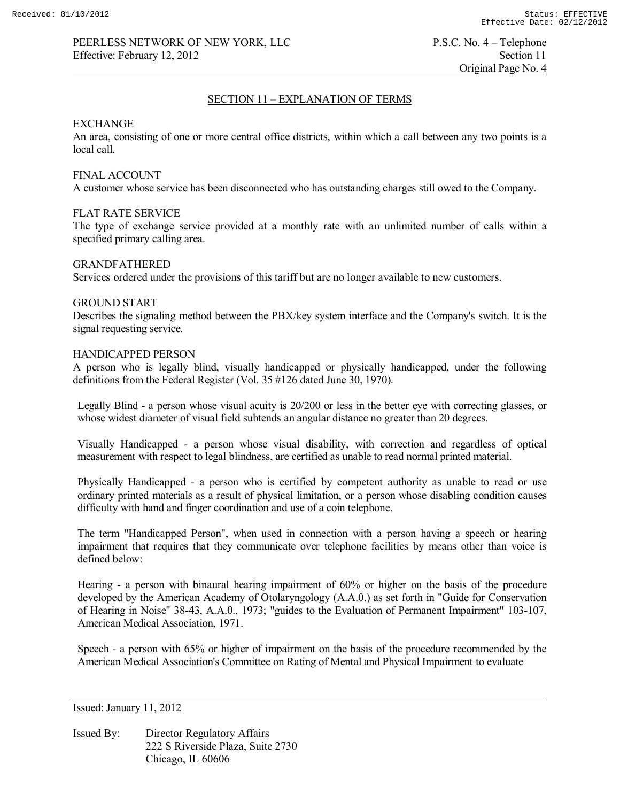Original Page No. 4

## SECTION 11 – EXPLANATION OF TERMS

#### EXCHANGE

An area, consisting of one or more central office districts, within which a call between any two points is a local call.

## FINAL ACCOUNT

A customer whose service has been disconnected who has outstanding charges still owed to the Company.

## FLAT RATE SERVICE

The type of exchange service provided at a monthly rate with an unlimited number of calls within a specified primary calling area.

#### GRANDFATHERED

Services ordered under the provisions of this tariff but are no longer available to new customers.

#### GROUND START

Describes the signaling method between the PBX/key system interface and the Company's switch. It is the signal requesting service.

## HANDICAPPED PERSON

A person who is legally blind, visually handicapped or physically handicapped, under the following definitions from the Federal Register (Vol. 35 #126 dated June 30, 1970).

Legally Blind - a person whose visual acuity is 20/200 or less in the better eye with correcting glasses, or whose widest diameter of visual field subtends an angular distance no greater than 20 degrees.

Visually Handicapped - a person whose visual disability, with correction and regardless of optical measurement with respect to legal blindness, are certified as unable to read normal printed material.

Physically Handicapped - a person who is certified by competent authority as unable to read or use ordinary printed materials as a result of physical limitation, or a person whose disabling condition causes difficulty with hand and finger coordination and use of a coin telephone.

The term "Handicapped Person", when used in connection with a person having a speech or hearing impairment that requires that they communicate over telephone facilities by means other than voice is defined below:

Hearing - a person with binaural hearing impairment of 60% or higher on the basis of the procedure developed by the American Academy of Otolaryngology (A.A.0.) as set forth in "Guide for Conservation of Hearing in Noise" 38-43, A.A.0., 1973; "guides to the Evaluation of Permanent Impairment" 103-107, American Medical Association, 1971.

Speech - a person with 65% or higher of impairment on the basis of the procedure recommended by the American Medical Association's Committee on Rating of Mental and Physical Impairment to evaluate

Issued: January 11, 2012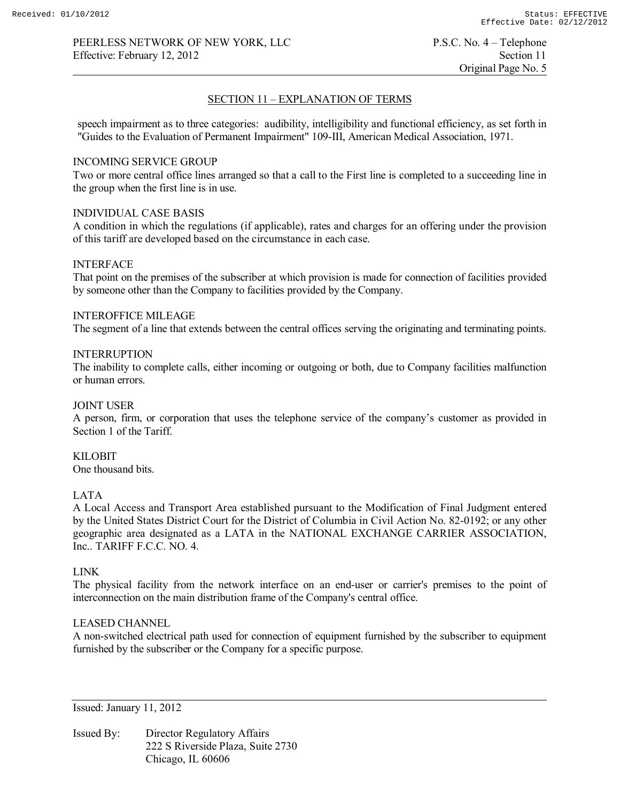Original Page No. 5

## SECTION 11 – EXPLANATION OF TERMS

speech impairment as to three categories: audibility, intelligibility and functional efficiency, as set forth in "Guides to the Evaluation of Permanent Impairment" 109-III, American Medical Association, 1971.

## INCOMING SERVICE GROUP

Two or more central office lines arranged so that a call to the First line is completed to a succeeding line in the group when the first line is in use.

# INDIVIDUAL CASE BASIS

A condition in which the regulations (if applicable), rates and charges for an offering under the provision of this tariff are developed based on the circumstance in each case.

## INTERFACE

That point on the premises of the subscriber at which provision is made for connection of facilities provided by someone other than the Company to facilities provided by the Company.

## INTEROFFICE MILEAGE

The segment of a line that extends between the central offices serving the originating and terminating points.

# INTERRUPTION

The inability to complete calls, either incoming or outgoing or both, due to Company facilities malfunction or human errors.

## JOINT USER

A person, firm, or corporation that uses the telephone service of the company's customer as provided in Section 1 of the Tariff.

# KILOBIT

One thousand bits.

## LATA

A Local Access and Transport Area established pursuant to the Modification of Final Judgment entered by the United States District Court for the District of Columbia in Civil Action No. 82-0192; or any other geographic area designated as a LATA in the NATIONAL EXCHANGE CARRIER ASSOCIATION, Inc.. TARIFF F.C.C. NO. 4.

## LINK

The physical facility from the network interface on an end-user or carrier's premises to the point of interconnection on the main distribution frame of the Company's central office.

## LEASED CHANNEL

A non-switched electrical path used for connection of equipment furnished by the subscriber to equipment furnished by the subscriber or the Company for a specific purpose.

Issued: January 11, 2012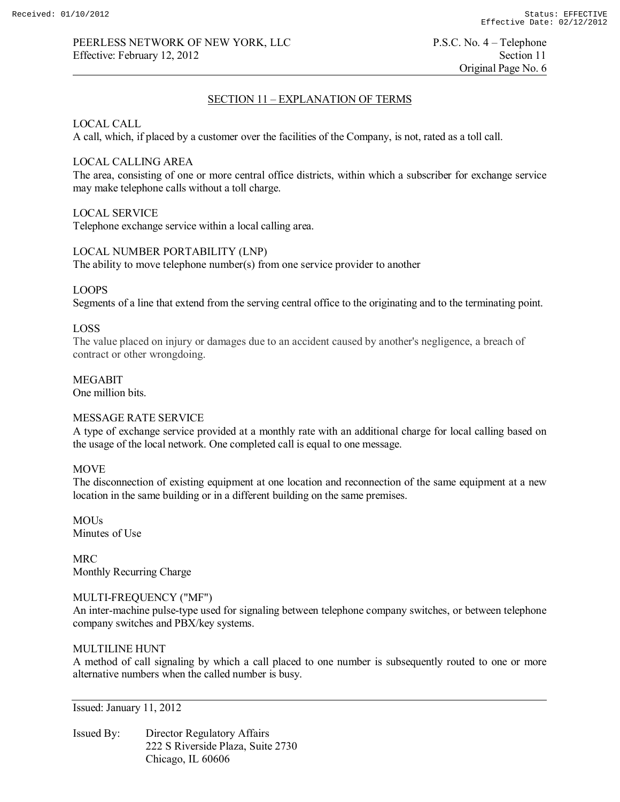# SECTION 11 – EXPLANATION OF TERMS

# LOCAL CALL

A call, which, if placed by a customer over the facilities of the Company, is not, rated as a toll call.

# LOCAL CALLING AREA

The area, consisting of one or more central office districts, within which a subscriber for exchange service may make telephone calls without a toll charge.

# LOCAL SERVICE

Telephone exchange service within a local calling area.

# LOCAL NUMBER PORTABILITY (LNP)

The ability to move telephone number(s) from one service provider to another

# LOOPS

Segments of a line that extend from the serving central office to the originating and to the terminating point.

# LOSS

The value placed on injury or damages due to an accident caused by another's negligence, a breach of contract or other wrongdoing.

# MEGABIT

One million bits.

# MESSAGE RATE SERVICE

A type of exchange service provided at a monthly rate with an additional charge for local calling based on the usage of the local network. One completed call is equal to one message.

## **MOVE**

The disconnection of existing equipment at one location and reconnection of the same equipment at a new location in the same building or in a different building on the same premises.

**MOUs** Minutes of Use

MRC Monthly Recurring Charge

## MULTI-FREQUENCY ("MF")

An inter-machine pulse-type used for signaling between telephone company switches, or between telephone company switches and PBX/key systems.

## MULTILINE HUNT

A method of call signaling by which a call placed to one number is subsequently routed to one or more alternative numbers when the called number is busy.

Issued: January 11, 2012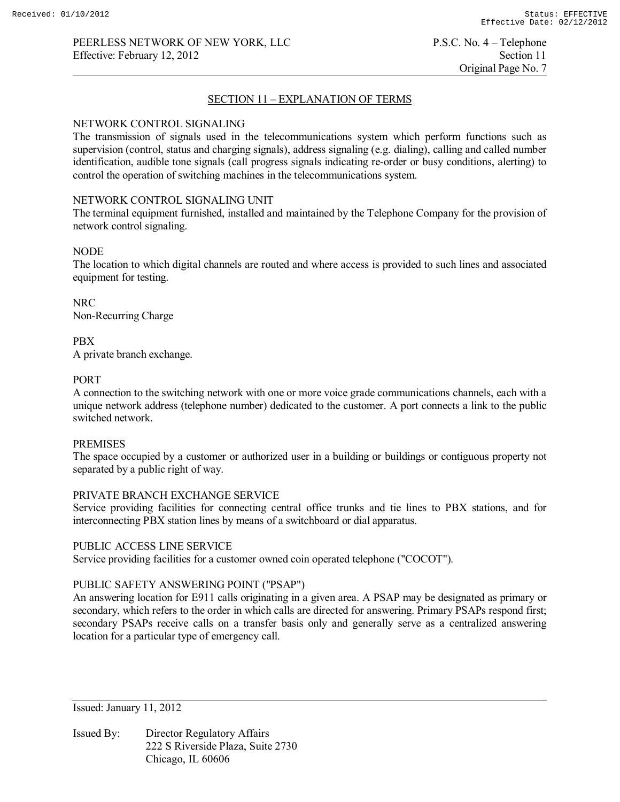# SECTION 11 – EXPLANATION OF TERMS

## NETWORK CONTROL SIGNALING

The transmission of signals used in the telecommunications system which perform functions such as supervision (control, status and charging signals), address signaling (e.g. dialing), calling and called number identification, audible tone signals (call progress signals indicating re-order or busy conditions, alerting) to control the operation of switching machines in the telecommunications system.

## NETWORK CONTROL SIGNALING UNIT

The terminal equipment furnished, installed and maintained by the Telephone Company for the provision of network control signaling.

## NODE

The location to which digital channels are routed and where access is provided to such lines and associated equipment for testing.

NRC Non-Recurring Charge

PBX A private branch exchange.

# PORT

A connection to the switching network with one or more voice grade communications channels, each with a unique network address (telephone number) dedicated to the customer. A port connects a link to the public switched network.

#### PREMISES

The space occupied by a customer or authorized user in a building or buildings or contiguous property not separated by a public right of way.

## PRIVATE BRANCH EXCHANGE SERVICE

Service providing facilities for connecting central office trunks and tie lines to PBX stations, and for interconnecting PBX station lines by means of a switchboard or dial apparatus.

## PUBLIC ACCESS LINE SERVICE

Service providing facilities for a customer owned coin operated telephone ("COCOT").

## PUBLIC SAFETY ANSWERING POINT ("PSAP")

An answering location for E911 calls originating in a given area. A PSAP may be designated as primary or secondary, which refers to the order in which calls are directed for answering. Primary PSAPs respond first; secondary PSAPs receive calls on a transfer basis only and generally serve as a centralized answering location for a particular type of emergency call.

Issued: January 11, 2012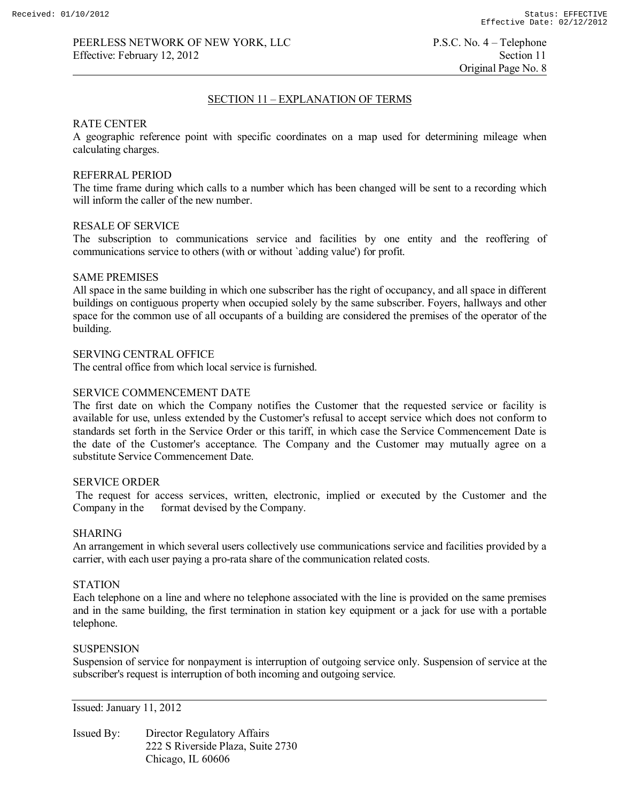Original Page No. 8

## SECTION 11 – EXPLANATION OF TERMS

## RATE CENTER

A geographic reference point with specific coordinates on a map used for determining mileage when calculating charges.

## REFERRAL PERIOD

The time frame during which calls to a number which has been changed will be sent to a recording which will inform the caller of the new number.

## RESALE OF SERVICE

The subscription to communications service and facilities by one entity and the reoffering of communications service to others (with or without `adding value') for profit.

#### SAME PREMISES

All space in the same building in which one subscriber has the right of occupancy, and all space in different buildings on contiguous property when occupied solely by the same subscriber. Foyers, hallways and other space for the common use of all occupants of a building are considered the premises of the operator of the building.

## SERVING CENTRAL OFFICE

The central office from which local service is furnished.

## SERVICE COMMENCEMENT DATE

The first date on which the Company notifies the Customer that the requested service or facility is available for use, unless extended by the Customer's refusal to accept service which does not conform to standards set forth in the Service Order or this tariff, in which case the Service Commencement Date is the date of the Customer's acceptance. The Company and the Customer may mutually agree on a substitute Service Commencement Date.

#### SERVICE ORDER

The request for access services, written, electronic, implied or executed by the Customer and the Company in the format devised by the Company. format devised by the Company.

#### SHARING

An arrangement in which several users collectively use communications service and facilities provided by a carrier, with each user paying a pro-rata share of the communication related costs.

## **STATION**

Each telephone on a line and where no telephone associated with the line is provided on the same premises and in the same building, the first termination in station key equipment or a jack for use with a portable telephone.

#### **SUSPENSION**

Suspension of service for nonpayment is interruption of outgoing service only. Suspension of service at the subscriber's request is interruption of both incoming and outgoing service.

Issued: January 11, 2012